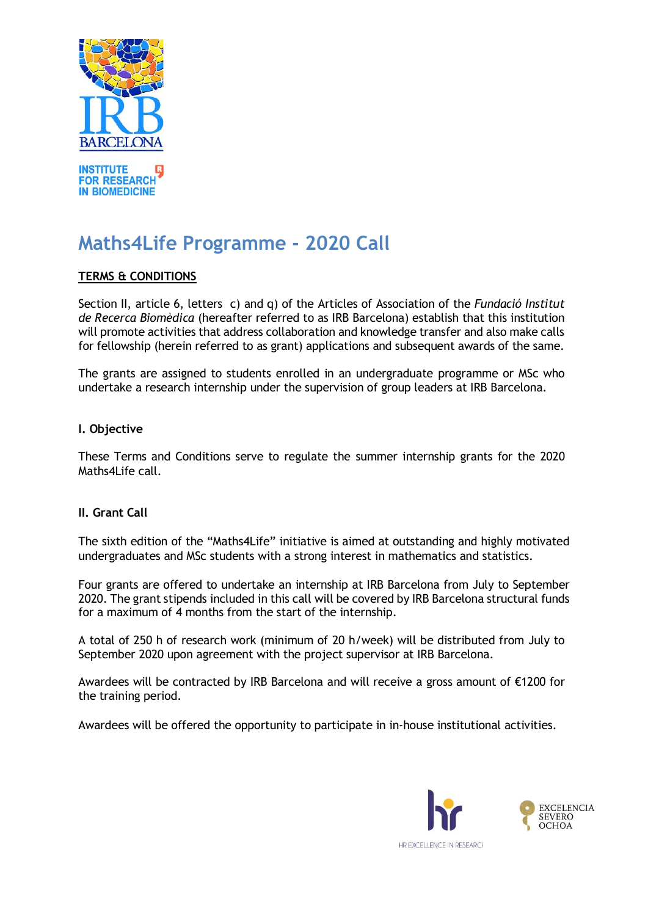

# **Maths4Life Programme - 2020 Call**

# **TERMS & CONDITIONS**

Section II, article 6, letters c) and q) of the Articles of Association of the *Fundació Institut de Recerca Biomèdica* (hereafter referred to as IRB Barcelona) establish that this institution will promote activities that address collaboration and knowledge transfer and also make calls for fellowship (herein referred to as grant) applications and subsequent awards of the same.

The grants are assigned to students enrolled in an undergraduate programme or MSc who undertake a research internship under the supervision of group leaders at IRB Barcelona.

## **I. Objective**

These Terms and Conditions serve to regulate the summer internship grants for the 2020 Maths4Life call.

## **II. Grant Call**

The sixth edition of the "Maths4Life" initiative is aimed at outstanding and highly motivated undergraduates and MSc students with a strong interest in mathematics and statistics.

Four grants are offered to undertake an internship at IRB Barcelona from July to September 2020. The grant stipends included in this call will be covered by IRB Barcelona structural funds for a maximum of 4 months from the start of the internship.

A total of 250 h of research work (minimum of 20 h/week) will be distributed from July to September 2020 upon agreement with the project supervisor at IRB Barcelona.

Awardees will be contracted by IRB Barcelona and will receive a gross amount of €1200 for the training period.

Awardees will be offered the opportunity to participate in in-house institutional activities.

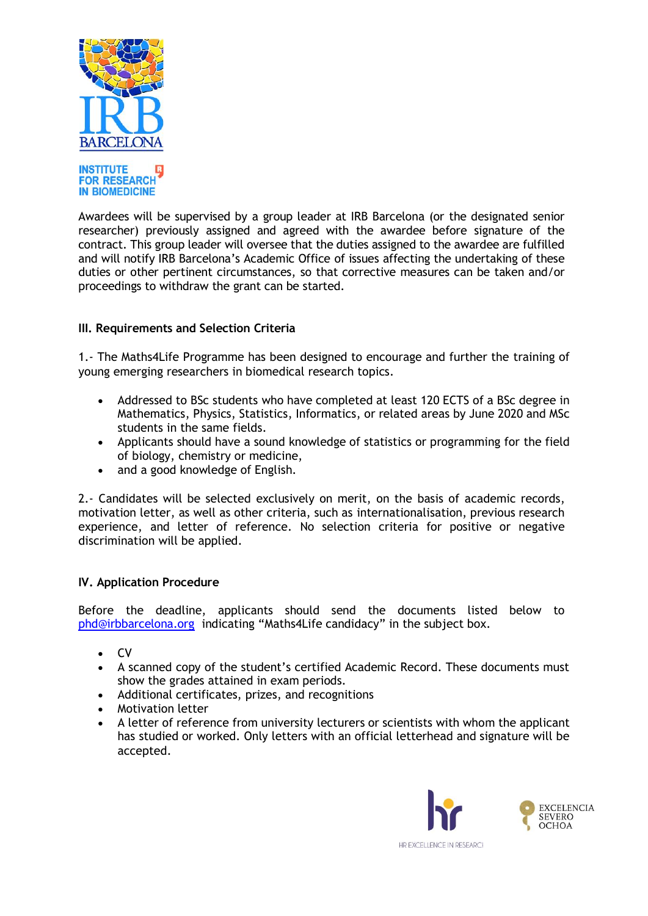



Awardees will be supervised by a group leader at IRB Barcelona (or the designated senior researcher) previously assigned and agreed with the awardee before signature of the contract. This group leader will oversee that the duties assigned to the awardee are fulfilled and will notify IRB Barcelona's Academic Office of issues affecting the undertaking of these duties or other pertinent circumstances, so that corrective measures can be taken and/or proceedings to withdraw the grant can be started.

# **III. Requirements and Selection Criteria**

1.- The Maths4Life Programme has been designed to encourage and further the training of young emerging researchers in biomedical research topics.

- Addressed to BSc students who have completed at least 120 ECTS of a BSc degree in Mathematics, Physics, Statistics, Informatics, or related areas by June 2020 and MSc students in the same fields.
- Applicants should have a sound knowledge of statistics or programming for the field of biology, chemistry or medicine,
- and a good knowledge of English.

2.- Candidates will be selected exclusively on merit, on the basis of academic records, motivation letter, as well as other criteria, such as internationalisation, previous research experience, and letter of reference. No selection criteria for positive or negative discrimination will be applied.

## **IV. Application Procedure**

Before the deadline, applicants should send the documents listed below to [phd@irbbarcelona.org](mailto:phd@irbbarcelona.org) indicating "Maths4Life candidacy" in the subject box.

- $\bullet$  CV
- A scanned copy of the student's certified Academic Record. These documents must show the grades attained in exam periods.
- Additional certificates, prizes, and recognitions
- Motivation letter
- A letter of reference from university lecturers or scientists with whom the applicant has studied or worked. Only letters with an official letterhead and signature will be accepted.

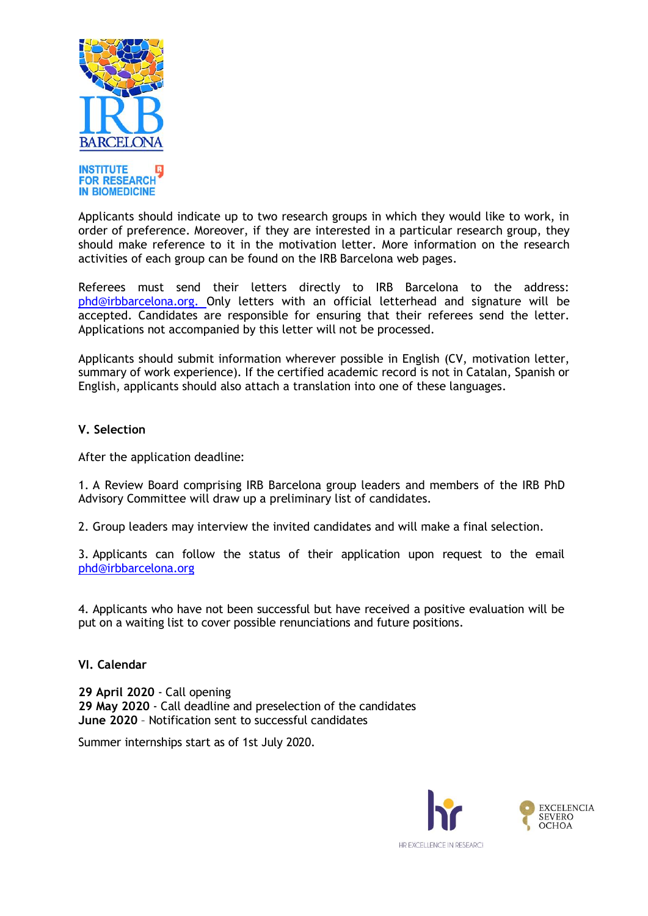

**IN BIOMEDICINE** Applicants should indicate up to two research groups in which they would like to work, in order of preference. Moreover, if they are interested in a particular research group, they should make reference to it in the motivation letter. More information on the research activities of each group can be found on the IRB Barcelona web pages.

Referees must send their letters directly to IRB Barcelona to the address: [phd@irbbarcelona.org.](mailto:phd@irbbarcelona.org) Only letters with an official letterhead and signature will be accepted. Candidates are responsible for ensuring that their referees send the letter. Applications not accompanied by this letter will not be processed.

Applicants should submit information wherever possible in English (CV, motivation letter, summary of work experience). If the certified academic record is not in Catalan, Spanish or English, applicants should also attach a translation into one of these languages.

## **V. Selection**

After the application deadline:

1. A Review Board comprising IRB Barcelona group leaders and members of the IRB PhD Advisory Committee will draw up a preliminary list of candidates.

2. Group leaders may interview the invited candidates and will make a final selection.

3. Applicants can follow the status of their application upon request to the email [phd@irbbarcelona.org](mailto:phd@irbbarcelona.org)

4. Applicants who have not been successful but have received a positive evaluation will be put on a waiting list to cover possible renunciations and future positions.

## **VI. Calendar**

**29 April 2020** - Call opening **29 May 2020** - Call deadline and preselection of the candidates **June 2020** – Notification sent to successful candidates

Summer internships start as of 1st July 2020.

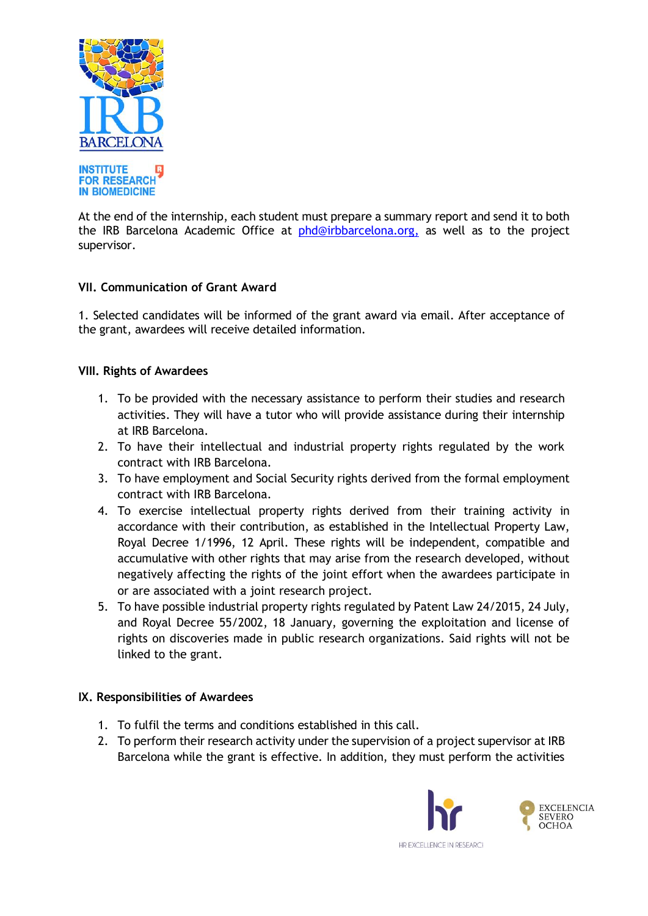

At the end of the internship, each student must prepare a summary report and send it to both the IRB Barcelona Academic Office at [phd@irbbarcelona.org,](mailto:phd@irbbarcelona.org) as well as to the project supervisor.

# **VII. Communication of Grant Award**

1. Selected candidates will be informed of the grant award via email. After acceptance of the grant, awardees will receive detailed information.

## **VIII. Rights of Awardees**

- 1. To be provided with the necessary assistance to perform their studies and research activities. They will have a tutor who will provide assistance during their internship at IRB Barcelona.
- 2. To have their intellectual and industrial property rights regulated by the work contract with IRB Barcelona.
- 3. To have employment and Social Security rights derived from the formal employment contract with IRB Barcelona.
- 4. To exercise intellectual property rights derived from their training activity in accordance with their contribution, as established in the Intellectual Property Law, Royal Decree 1/1996, 12 April. These rights will be independent, compatible and accumulative with other rights that may arise from the research developed, without negatively affecting the rights of the joint effort when the awardees participate in or are associated with a joint research project.
- 5. To have possible industrial property rights regulated by Patent Law 24/2015, 24 July, and Royal Decree 55/2002, 18 January, governing the exploitation and license of rights on discoveries made in public research organizations. Said rights will not be linked to the grant.

## **IX. Responsibilities of Awardees**

- 1. To fulfil the terms and conditions established in this call.
- 2. To perform their research activity under the supervision of a project supervisor at IRB Barcelona while the grant is effective. In addition, they must perform the activities

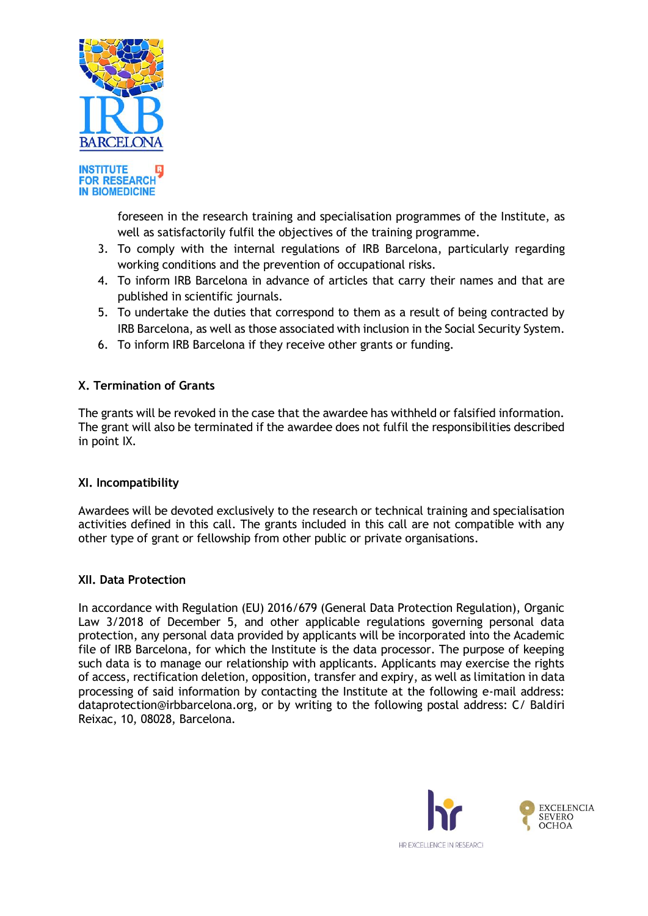



foreseen in the research training and specialisation programmes of the Institute, as well as satisfactorily fulfil the objectives of the training programme.

- 3. To comply with the internal regulations of IRB Barcelona, particularly regarding working conditions and the prevention of occupational risks.
- 4. To inform IRB Barcelona in advance of articles that carry their names and that are published in scientific journals.
- 5. To undertake the duties that correspond to them as a result of being contracted by IRB Barcelona, as well as those associated with inclusion in the Social Security System.
- 6. To inform IRB Barcelona if they receive other grants or funding.

## **X. Termination of Grants**

The grants will be revoked in the case that the awardee has withheld or falsified information. The grant will also be terminated if the awardee does not fulfil the responsibilities described in point IX.

## **XI. Incompatibility**

Awardees will be devoted exclusively to the research or technical training and specialisation activities defined in this call. The grants included in this call are not compatible with any other type of grant or fellowship from other public or private organisations.

## **XII. Data Protection**

In accordance with Regulation (EU) 2016/679 (General Data Protection Regulation), Organic Law 3/2018 of December 5, and other applicable regulations governing personal data protection, any personal data provided by applicants will be incorporated into the Academic file of IRB Barcelona, for which the Institute is the data processor. The purpose of keeping such data is to manage our relationship with applicants. Applicants may exercise the rights of access, rectification deletion, opposition, transfer and expiry, as well as limitation in data processing of said information by contacting the Institute at the following e-mail address: dataprotection@irbbarcelona.org, or by writing to the following postal address: C/ Baldiri Reixac, 10, 08028, Barcelona.